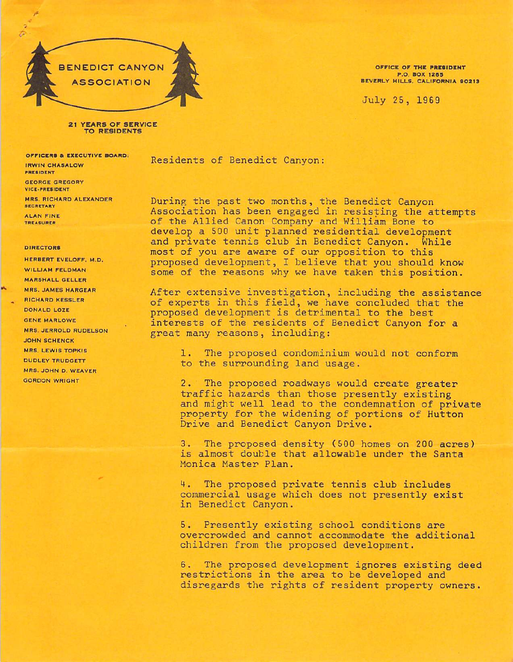

OFFICE OF THE PRESIDENT P.O. BOX 1265 B EVERLY HILLS, CALIFORNIA 90213

July 25, 1969

21 YEARS OF SERVICE TO RESIDENTS

OFFICERS & EXECUTIVE BOARD: **IRWIN CHASALOW** PRESIDENT GEORGE GREGORY VICE-PRESIDENT **MRS. RICHARD ALEXANDER SECRETARY ALAN FINE** 

TREASURER

## **DIRECTORS**

HERBERT EVELOFF, M.D. WILLIAM FELDMAN **MARSHALL GELLER** MRS. JAMES HARGEAR RICHARD KESSLER DONALD LOZE **GENE MARLOWE MRS. JERROLD RUDELSON JOHN SCHENCK** MRS. LEWIS TOPKIS DUDLEY TRUDGETT MRS. JOHN D. WEAVER **GORDON WRIGHT** 

Residents of Benedict Canyon:

During the past two months, the Benedict Canyon Association has been engaged in resisting the attempts of the Allied Canon Company and William Bone to develop a 500 unit planned residential development and private tennis club in Benedict Canyon. While most of you are aware of our opposition to this proposed development, I believe that you should know some of the reasons why we have taken this position.

After extensive investigation, including the assistance of experts in this field, we have concluded that the proposed development is detrimental to the best interests of the residents of Benedict Canyon for a great many reasons, including:

1. The proposed condominium would not conform to the surrounding land usage.

2. The proposed roadways would create greater traffic hazards than those presently existing and might well lead to the condemnation of private property for the widening of portions of Hutton Drive and Benedict Canyon Drive.

3. The proposed density (500 homes on 200 acres) is almost double that allowable under the Santa Monica Master Plan.

4. The proposed private tennis club includes commercial usage which does not presently exist in Benedict Canyon.

5. Presently existing school conditions are overcrowded and cannot accommodate the additional children from the proposed development.

6. The proposed development ignores existing deed restrictions in the area to be developed and disregards the rights of resident property owners.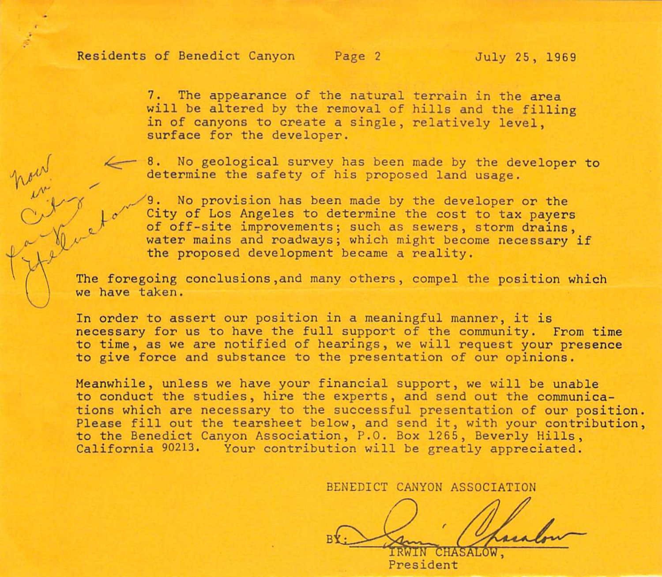## Residents of Benedict Canyon Page 2 July 25, 1969

7. The appearance of the natural terrain in the area will be altered by the removal of hills and the filling in of canyons to create a single, relatively level, surface for the developer.

8. No geological survey has been made by the developer to determine the safety of his proposed land usage.

9. No provision has been made by the developer or the City of Los Angeles to determine the cost to tax payers of off-site improvements; such as sewers, storm drains, water mains and roadways; which might become necessary if the proposed development became a reality.

The foregoing conclusions,and many others, compel the position which we have taken.

In order to assert our position in a meaningful manner, it is necessary for us to have the full support of the community. From time to time, as we are notified of hearings, we will request your presence to give force and substance to the presentation of our opinions.

Meanwhile, unless we have your financial support, we will be unable to conduct the studies, hire the experts, and send out the communica tions which are necessary to the successful presentation of our position. Please fill out the tearsheet below, and send it, with your contribution, to the Benedict Canyon Association, P.O. Box 1265, Beverly Hills, California 90213. Your contribution will be greatly appreciated.

BENEDICT CANYON ASSOCIATION

IRWIN CHASi President